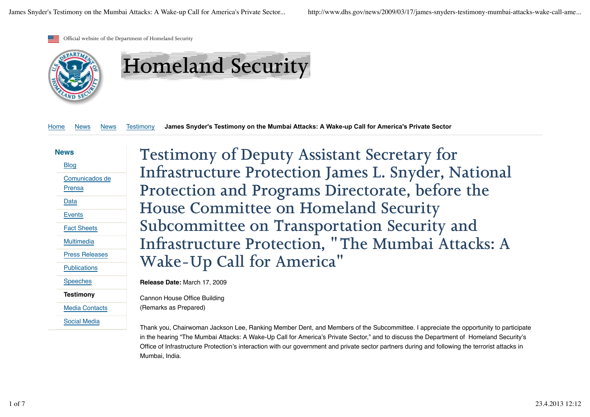Official website of the Department of Homeland Security





Home News News Testimony **James Snyder's Testimony on the Mumbai Attacks: A Wake-up Call for America's Private Sector**

**News** Blog

> Comunicados de Prensa Data Events Fact Sheets **Multimedia** Press Releases **Publications** Speeches **Testimony**

Media Contacts

Social Media

Testimony of Deputy Assistant Secretary for Infrastructure Protection James L. Snyder, National Protection and Programs Directorate, before the House Committee on Homeland Security Subcommittee on Transportation Security and Infrastructure Protection, "The Mumbai Attacks: A Wake-Up Call for America"

**Release Date:** March 17, 2009

Cannon House Office Building (Remarks as Prepared)

Thank you, Chairwoman Jackson Lee, Ranking Member Dent, and Members of the Subcommittee. I appreciate the opportunity to participate in the hearing "The Mumbai Attacks: A Wake-Up Call for America's Private Sector," and to discuss the Department of Homeland Security's Office of Infrastructure Protection's interaction with our government and private sector partners during and following the terrorist attacks in Mumbai, India.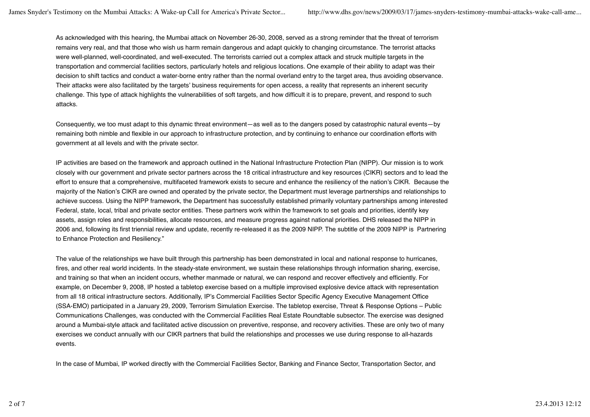As acknowledged with this hearing, the Mumbai attack on November 26-30, 2008, served as a strong reminder that the threat of terrorism remains very real, and that those who wish us harm remain dangerous and adapt quickly to changing circumstance. The terrorist attacks were well-planned, well-coordinated, and well-executed. The terrorists carried out a complex attack and struck multiple targets in the transportation and commercial facilities sectors, particularly hotels and religious locations. One example of their ability to adapt was their decision to shift tactics and conduct a water-borne entry rather than the normal overland entry to the target area, thus avoiding observance. Their attacks were also facilitated by the targets' business requirements for open access, a reality that represents an inherent security challenge. This type of attack highlights the vulnerabilities of soft targets, and how difficult it is to prepare, prevent, and respond to such attacks.

Consequently, we too must adapt to this dynamic threat environment—as well as to the dangers posed by catastrophic natural events—by remaining both nimble and flexible in our approach to infrastructure protection, and by continuing to enhance our coordination efforts with government at all levels and with the private sector.

IP activities are based on the framework and approach outlined in the National Infrastructure Protection Plan (NIPP). Our mission is to work closely with our government and private sector partners across the 18 critical infrastructure and key resources (CIKR) sectors and to lead the effort to ensure that a comprehensive, multifaceted framework exists to secure and enhance the resiliency of the nation's CIKR. Because the majority of the Nation's CIKR are owned and operated by the private sector, the Department must leverage partnerships and relationships to achieve success. Using the NIPP framework, the Department has successfully established primarily voluntary partnerships among interested Federal, state, local, tribal and private sector entities. These partners work within the framework to set goals and priorities, identify key assets, assign roles and responsibilities, allocate resources, and measure progress against national priorities. DHS released the NIPP in 2006 and, following its first triennial review and update, recently re-released it as the 2009 NIPP. The subtitle of the 2009 NIPP is Partnering to Enhance Protection and Resiliency."

The value of the relationships we have built through this partnership has been demonstrated in local and national response to hurricanes, fires, and other real world incidents. In the steady-state environment, we sustain these relationships through information sharing, exercise, and training so that when an incident occurs, whether manmade or natural, we can respond and recover effectively and efficiently. For example, on December 9, 2008, IP hosted a tabletop exercise based on a multiple improvised explosive device attack with representation from all 18 critical infrastructure sectors. Additionally, IP's Commercial Facilities Sector Specific Agency Executive Management Office (SSA-EMO) participated in a January 29, 2009, Terrorism Simulation Exercise. The tabletop exercise, Threat & Response Options – Public Communications Challenges, was conducted with the Commercial Facilities Real Estate Roundtable subsector. The exercise was designed around a Mumbai-style attack and facilitated active discussion on preventive, response, and recovery activities. These are only two of many exercises we conduct annually with our CIKR partners that build the relationships and processes we use during response to all-hazards events.

In the case of Mumbai, IP worked directly with the Commercial Facilities Sector, Banking and Finance Sector, Transportation Sector, and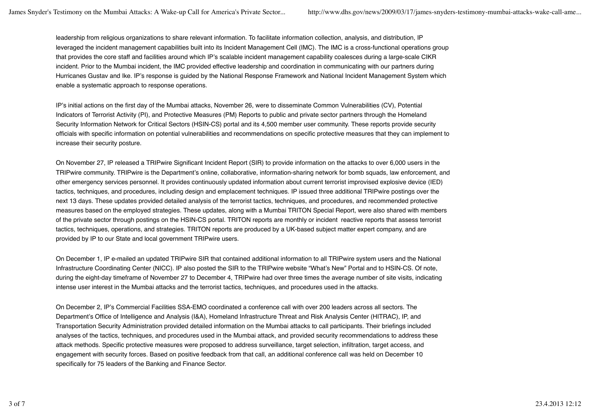leadership from religious organizations to share relevant information. To facilitate information collection, analysis, and distribution, IP leveraged the incident management capabilities built into its Incident Management Cell (IMC). The IMC is a cross-functional operations group that provides the core staff and facilities around which IP's scalable incident management capability coalesces during a large-scale CIKR incident. Prior to the Mumbai incident, the IMC provided effective leadership and coordination in communicating with our partners during Hurricanes Gustav and Ike. IP's response is guided by the National Response Framework and National Incident Management System which enable a systematic approach to response operations.

IP's initial actions on the first day of the Mumbai attacks, November 26, were to disseminate Common Vulnerabilities (CV), Potential Indicators of Terrorist Activity (PI), and Protective Measures (PM) Reports to public and private sector partners through the Homeland Security Information Network for Critical Sectors (HSIN-CS) portal and its 4,500 member user community. These reports provide security officials with specific information on potential vulnerabilities and recommendations on specific protective measures that they can implement to increase their security posture.

On November 27, IP released a TRIPwire Significant Incident Report (SIR) to provide information on the attacks to over 6,000 users in the TRIPwire community. TRIPwire is the Department's online, collaborative, information-sharing network for bomb squads, law enforcement, and other emergency services personnel. It provides continuously updated information about current terrorist improvised explosive device (IED) tactics, techniques, and procedures, including design and emplacement techniques. IP issued three additional TRIPwire postings over the next 13 days. These updates provided detailed analysis of the terrorist tactics, techniques, and procedures, and recommended protective measures based on the employed strategies. These updates, along with a Mumbai TRITON Special Report, were also shared with members of the private sector through postings on the HSIN-CS portal. TRITON reports are monthly or incident reactive reports that assess terrorist tactics, techniques, operations, and strategies. TRITON reports are produced by a UK-based subject matter expert company, and are provided by IP to our State and local government TRIPwire users.

On December 1, IP e-mailed an updated TRIPwire SIR that contained additional information to all TRIPwire system users and the National Infrastructure Coordinating Center (NICC). IP also posted the SIR to the TRIPwire website "What's New" Portal and to HSIN-CS. Of note, during the eight-day timeframe of November 27 to December 4, TRIPwire had over three times the average number of site visits, indicating intense user interest in the Mumbai attacks and the terrorist tactics, techniques, and procedures used in the attacks.

On December 2, IP's Commercial Facilities SSA-EMO coordinated a conference call with over 200 leaders across all sectors. The Department's Office of Intelligence and Analysis (I&A), Homeland Infrastructure Threat and Risk Analysis Center (HITRAC), IP, and Transportation Security Administration provided detailed information on the Mumbai attacks to call participants. Their briefings included analyses of the tactics, techniques, and procedures used in the Mumbai attack, and provided security recommendations to address these attack methods. Specific protective measures were proposed to address surveillance, target selection, infiltration, target access, and engagement with security forces. Based on positive feedback from that call, an additional conference call was held on December 10 specifically for 75 leaders of the Banking and Finance Sector.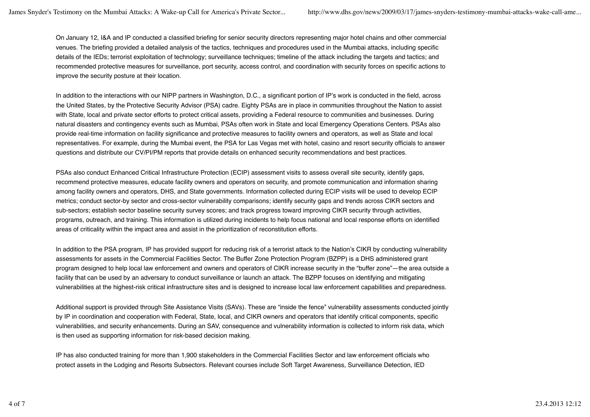On January 12, I&A and IP conducted a classified briefing for senior security directors representing major hotel chains and other commercial venues. The briefing provided a detailed analysis of the tactics, techniques and procedures used in the Mumbai attacks, including specific details of the IEDs; terrorist exploitation of technology; surveillance techniques; timeline of the attack including the targets and tactics; and recommended protective measures for surveillance, port security, access control, and coordination with security forces on specific actions to improve the security posture at their location.

In addition to the interactions with our NIPP partners in Washington, D.C., a significant portion of IP's work is conducted in the field, across the United States, by the Protective Security Advisor (PSA) cadre. Eighty PSAs are in place in communities throughout the Nation to assist with State, local and private sector efforts to protect critical assets, providing a Federal resource to communities and businesses. During natural disasters and contingency events such as Mumbai, PSAs often work in State and local Emergency Operations Centers. PSAs also provide real-time information on facility significance and protective measures to facility owners and operators, as well as State and local representatives. For example, during the Mumbai event, the PSA for Las Vegas met with hotel, casino and resort security officials to answer questions and distribute our CV/PI/PM reports that provide details on enhanced security recommendations and best practices.

PSAs also conduct Enhanced Critical Infrastructure Protection (ECIP) assessment visits to assess overall site security, identify gaps, recommend protective measures, educate facility owners and operators on security, and promote communication and information sharing among facility owners and operators, DHS, and State governments. Information collected during ECIP visits will be used to develop ECIP metrics; conduct sector-by sector and cross-sector vulnerability comparisons; identify security gaps and trends across CIKR sectors and sub-sectors; establish sector baseline security survey scores; and track progress toward improving CIKR security through activities, programs, outreach, and training. This information is utilized during incidents to help focus national and local response efforts on identified areas of criticality within the impact area and assist in the prioritization of reconstitution efforts.

In addition to the PSA program, IP has provided support for reducing risk of a terrorist attack to the Nation's CIKR by conducting vulnerability assessments for assets in the Commercial Facilities Sector. The Buffer Zone Protection Program (BZPP) is a DHS administered grant program designed to help local law enforcement and owners and operators of CIKR increase security in the "buffer zone"—the area outside a facility that can be used by an adversary to conduct surveillance or launch an attack. The BZPP focuses on identifying and mitigating vulnerabilities at the highest-risk critical infrastructure sites and is designed to increase local law enforcement capabilities and preparedness.

Additional support is provided through Site Assistance Visits (SAVs). These are "inside the fence" vulnerability assessments conducted jointly by IP in coordination and cooperation with Federal, State, local, and CIKR owners and operators that identify critical components, specific vulnerabilities, and security enhancements. During an SAV, consequence and vulnerability information is collected to inform risk data, which is then used as supporting information for risk-based decision making.

IP has also conducted training for more than 1,900 stakeholders in the Commercial Facilities Sector and law enforcement officials who protect assets in the Lodging and Resorts Subsectors. Relevant courses include Soft Target Awareness, Surveillance Detection, IED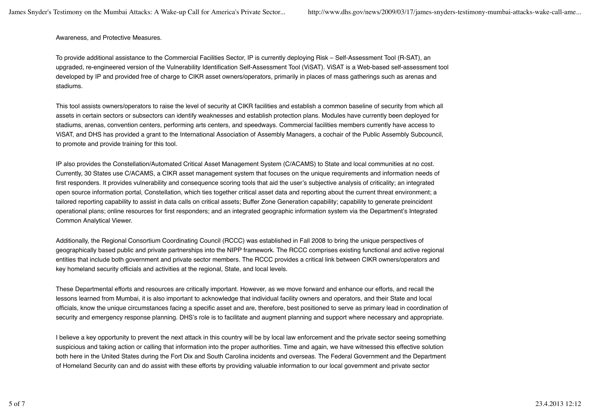Awareness, and Protective Measures.

To provide additional assistance to the Commercial Facilities Sector, IP is currently deploying Risk – Self-Assessment Tool (R-SAT), an upgraded, re-engineered version of the Vulnerability Identification Self-Assessment Tool (ViSAT). ViSAT is a Web-based self-assessment tool developed by IP and provided free of charge to CIKR asset owners/operators, primarily in places of mass gatherings such as arenas and stadiums.

This tool assists owners/operators to raise the level of security at CIKR facilities and establish a common baseline of security from which all assets in certain sectors or subsectors can identify weaknesses and establish protection plans. Modules have currently been deployed for stadiums, arenas, convention centers, performing arts centers, and speedways. Commercial facilities members currently have access to ViSAT, and DHS has provided a grant to the International Association of Assembly Managers, a cochair of the Public Assembly Subcouncil, to promote and provide training for this tool.

IP also provides the Constellation/Automated Critical Asset Management System (C/ACAMS) to State and local communities at no cost. Currently, 30 States use C/ACAMS, a CIKR asset management system that focuses on the unique requirements and information needs of first responders. It provides vulnerability and consequence scoring tools that aid the user's subjective analysis of criticality; an integrated open source information portal, Constellation, which ties together critical asset data and reporting about the current threat environment; a tailored reporting capability to assist in data calls on critical assets; Buffer Zone Generation capability; capability to generate preincident operational plans; online resources for first responders; and an integrated geographic information system via the Department's Integrated Common Analytical Viewer.

Additionally, the Regional Consortium Coordinating Council (RCCC) was established in Fall 2008 to bring the unique perspectives of geographically based public and private partnerships into the NIPP framework. The RCCC comprises existing functional and active regional entities that include both government and private sector members. The RCCC provides a critical link between CIKR owners/operators and key homeland security officials and activities at the regional, State, and local levels.

These Departmental efforts and resources are critically important. However, as we move forward and enhance our efforts, and recall the lessons learned from Mumbai, it is also important to acknowledge that individual facility owners and operators, and their State and local officials, know the unique circumstances facing a specific asset and are, therefore, best positioned to serve as primary lead in coordination of security and emergency response planning. DHS's role is to facilitate and augment planning and support where necessary and appropriate.

I believe a key opportunity to prevent the next attack in this country will be by local law enforcement and the private sector seeing something suspicious and taking action or calling that information into the proper authorities. Time and again, we have witnessed this effective solution both here in the United States during the Fort Dix and South Carolina incidents and overseas. The Federal Government and the Department of Homeland Security can and do assist with these efforts by providing valuable information to our local government and private sector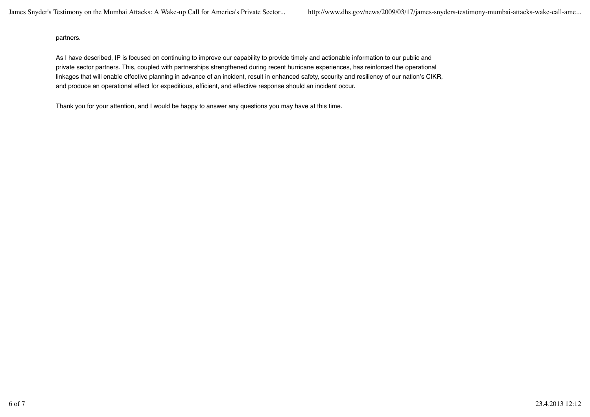partners.

As I have described, IP is focused on continuing to improve our capability to provide timely and actionable information to our public and private sector partners. This, coupled with partnerships strengthened during recent hurricane experiences, has reinforced the operational linkages that will enable effective planning in advance of an incident, result in enhanced safety, security and resiliency of our nation's CIKR, and produce an operational effect for expeditious, efficient, and effective response should an incident occur.

Thank you for your attention, and I would be happy to answer any questions you may have at this time.